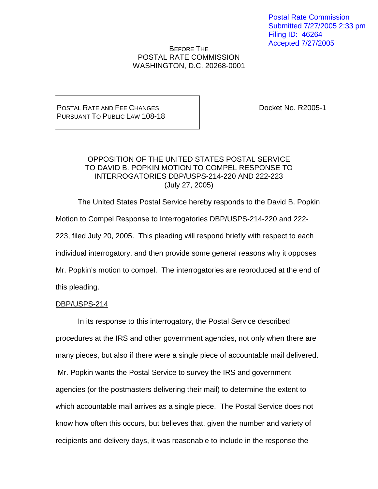Postal Rate Commission Submitted 7/27/2005 2:33 pm Filing ID: 46264 Accepted 7/27/2005

BEFORE THE POSTAL RATE COMMISSION WASHINGTON, D.C. 20268-0001

POSTAL RATE AND FEE CHANGES PURSUANT TO PUBLIC LAW 108-18 Docket No. R2005-1

# OPPOSITION OF THE UNITED STATES POSTAL SERVICE TO DAVID B. POPKIN MOTION TO COMPEL RESPONSE TO INTERROGATORIES DBP/USPS-214-220 AND 222-223 (July 27, 2005)

The United States Postal Service hereby responds to the David B. Popkin Motion to Compel Response to Interrogatories DBP/USPS-214-220 and 222- 223, filed July 20, 2005. This pleading will respond briefly with respect to each individual interrogatory, and then provide some general reasons why it opposes Mr. Popkin's motion to compel. The interrogatories are reproduced at the end of this pleading.

## DBP/USPS-214

In its response to this interrogatory, the Postal Service described procedures at the IRS and other government agencies, not only when there are many pieces, but also if there were a single piece of accountable mail delivered. Mr. Popkin wants the Postal Service to survey the IRS and government agencies (or the postmasters delivering their mail) to determine the extent to which accountable mail arrives as a single piece. The Postal Service does not know how often this occurs, but believes that, given the number and variety of recipients and delivery days, it was reasonable to include in the response the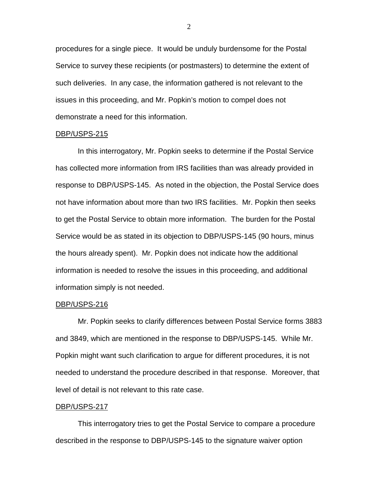procedures for a single piece. It would be unduly burdensome for the Postal Service to survey these recipients (or postmasters) to determine the extent of such deliveries. In any case, the information gathered is not relevant to the issues in this proceeding, and Mr. Popkin's motion to compel does not demonstrate a need for this information.

#### DBP/USPS-215

In this interrogatory, Mr. Popkin seeks to determine if the Postal Service has collected more information from IRS facilities than was already provided in response to DBP/USPS-145. As noted in the objection, the Postal Service does not have information about more than two IRS facilities. Mr. Popkin then seeks to get the Postal Service to obtain more information. The burden for the Postal Service would be as stated in its objection to DBP/USPS-145 (90 hours, minus the hours already spent). Mr. Popkin does not indicate how the additional information is needed to resolve the issues in this proceeding, and additional information simply is not needed.

#### DBP/USPS-216

Mr. Popkin seeks to clarify differences between Postal Service forms 3883 and 3849, which are mentioned in the response to DBP/USPS-145. While Mr. Popkin might want such clarification to argue for different procedures, it is not needed to understand the procedure described in that response. Moreover, that level of detail is not relevant to this rate case.

#### DBP/USPS-217

This interrogatory tries to get the Postal Service to compare a procedure described in the response to DBP/USPS-145 to the signature waiver option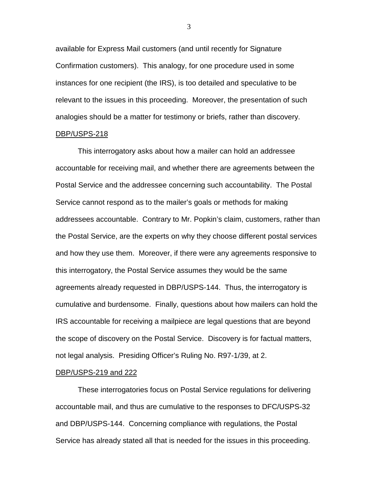available for Express Mail customers (and until recently for Signature Confirmation customers). This analogy, for one procedure used in some instances for one recipient (the IRS), is too detailed and speculative to be relevant to the issues in this proceeding. Moreover, the presentation of such analogies should be a matter for testimony or briefs, rather than discovery.

### DBP/USPS-218

This interrogatory asks about how a mailer can hold an addressee accountable for receiving mail, and whether there are agreements between the Postal Service and the addressee concerning such accountability. The Postal Service cannot respond as to the mailer's goals or methods for making addressees accountable. Contrary to Mr. Popkin's claim, customers, rather than the Postal Service, are the experts on why they choose different postal services and how they use them. Moreover, if there were any agreements responsive to this interrogatory, the Postal Service assumes they would be the same agreements already requested in DBP/USPS-144. Thus, the interrogatory is cumulative and burdensome. Finally, questions about how mailers can hold the IRS accountable for receiving a mailpiece are legal questions that are beyond the scope of discovery on the Postal Service. Discovery is for factual matters, not legal analysis. Presiding Officer's Ruling No. R97-1/39, at 2.

#### DBP/USPS-219 and 222

These interrogatories focus on Postal Service regulations for delivering accountable mail, and thus are cumulative to the responses to DFC/USPS-32 and DBP/USPS-144. Concerning compliance with regulations, the Postal Service has already stated all that is needed for the issues in this proceeding.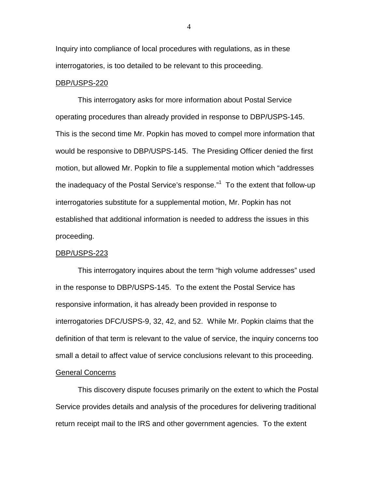Inquiry into compliance of local procedures with regulations, as in these interrogatories, is too detailed to be relevant to this proceeding.

#### DBP/USPS-220

This interrogatory asks for more information about Postal Service operating procedures than already provided in response to DBP/USPS-145. This is the second time Mr. Popkin has moved to compel more information that would be responsive to DBP/USPS-145. The Presiding Officer denied the first motion, but allowed Mr. Popkin to file a supplemental motion which "addresses the inadequacy of the Postal Service's response."<sup>1</sup> To the extent that follow-up interrogatories substitute for a supplemental motion, Mr. Popkin has not established that additional information is needed to address the issues in this proceeding.

#### DBP/USPS-223

This interrogatory inquires about the term "high volume addresses" used in the response to DBP/USPS-145. To the extent the Postal Service has responsive information, it has already been provided in response to interrogatories DFC/USPS-9, 32, 42, and 52. While Mr. Popkin claims that the definition of that term is relevant to the value of service, the inquiry concerns too small a detail to affect value of service conclusions relevant to this proceeding. General Concerns

This discovery dispute focuses primarily on the extent to which the Postal Service provides details and analysis of the procedures for delivering traditional return receipt mail to the IRS and other government agencies. To the extent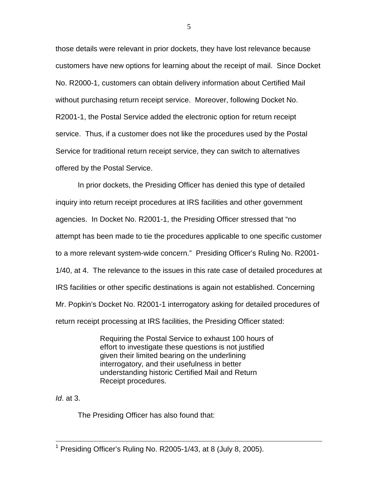those details were relevant in prior dockets, they have lost relevance because customers have new options for learning about the receipt of mail. Since Docket No. R2000-1, customers can obtain delivery information about Certified Mail without purchasing return receipt service. Moreover, following Docket No. R2001-1, the Postal Service added the electronic option for return receipt service. Thus, if a customer does not like the procedures used by the Postal Service for traditional return receipt service, they can switch to alternatives offered by the Postal Service.

In prior dockets, the Presiding Officer has denied this type of detailed inquiry into return receipt procedures at IRS facilities and other government agencies. In Docket No. R2001-1, the Presiding Officer stressed that "no attempt has been made to tie the procedures applicable to one specific customer to a more relevant system-wide concern." Presiding Officer's Ruling No. R2001- 1/40, at 4. The relevance to the issues in this rate case of detailed procedures at IRS facilities or other specific destinations is again not established. Concerning Mr. Popkin's Docket No. R2001-1 interrogatory asking for detailed procedures of return receipt processing at IRS facilities, the Presiding Officer stated:

> Requiring the Postal Service to exhaust 100 hours of effort to investigate these questions is not justified given their limited bearing on the underlining interrogatory, and their usefulness in better understanding historic Certified Mail and Return Receipt procedures.

 $Id.$  at 3.

The Presiding Officer has also found that:

<sup>&</sup>lt;sup>1</sup> Presiding Officer's Ruling No. R2005-1/43, at 8 (July 8, 2005).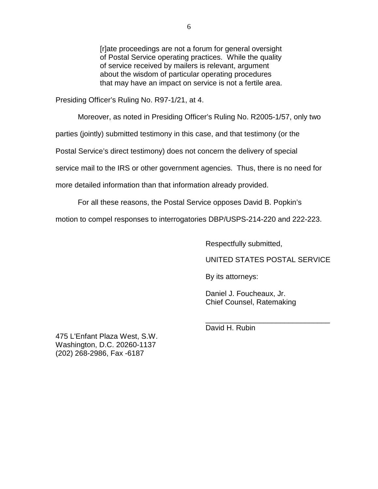[r]ate proceedings are not a forum for general oversight of Postal Service operating practices. While the quality of service received by mailers is relevant, argument about the wisdom of particular operating procedures that may have an impact on service is not a fertile area.

Presiding Officer's Ruling No. R97-1/21, at 4.

Moreover, as noted in Presiding Officer's Ruling No. R2005-1/57, only two

parties (jointly) submitted testimony in this case, and that testimony (or the

Postal Service's direct testimony) does not concern the delivery of special

service mail to the IRS or other government agencies. Thus, there is no need for

more detailed information than that information already provided.

For all these reasons, the Postal Service opposes David B. Popkin's

motion to compel responses to interrogatories DBP/USPS-214-220 and 222-223.

Respectfully submitted,

UNITED STATES POSTAL SERVICE

By its attorneys:

Daniel J. Foucheaux, Jr. Chief Counsel, Ratemaking

475 L'Enfant Plaza West, S.W. Washington, D.C. 20260-1137 (202) 268-2986, Fax -6187

\_\_\_\_\_\_\_\_\_\_\_\_\_\_\_\_\_\_\_\_\_\_\_\_\_\_\_\_\_\_ David H. Rubin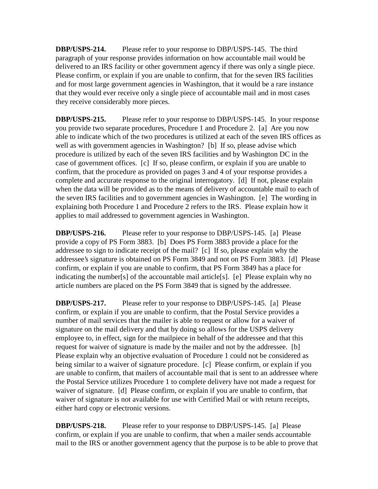**DBP/USPS-214.** Please refer to your response to DBP/USPS-145. The third paragraph of your response provides information on how accountable mail would be delivered to an IRS facility or other government agency if there was only a single piece. Please confirm, or explain if you are unable to confirm, that for the seven IRS facilities and for most large government agencies in Washington, that it would be a rare instance that they would ever receive only a single piece of accountable mail and in most cases they receive considerably more pieces.

**DBP/USPS-215.** Please refer to your response to DBP/USPS-145. In your response you provide two separate procedures, Procedure 1 and Procedure 2. [a] Are you now able to indicate which of the two procedures is utilized at each of the seven IRS offices as well as with government agencies in Washington? [b] If so, please advise which procedure is utilized by each of the seven IRS facilities and by Washington DC in the case of government offices. [c] If so, please confirm, or explain if you are unable to confirm, that the procedure as provided on pages 3 and 4 of your response provides a complete and accurate response to the original interrogatory. [d] If not, please explain when the data will be provided as to the means of delivery of accountable mail to each of the seven IRS facilities and to government agencies in Washington. [e] The wording in explaining both Procedure 1 and Procedure 2 refers to the IRS. Please explain how it applies to mail addressed to government agencies in Washington.

**DBP/USPS-216.** Please refer to your response to DBP/USPS-145. [a] Please provide a copy of PS Form 3883. [b] Does PS Form 3883 provide a place for the addressee to sign to indicate receipt of the mail? [c] If so, please explain why the addressee's signature is obtained on PS Form 3849 and not on PS Form 3883. [d] Please confirm, or explain if you are unable to confirm, that PS Form 3849 has a place for indicating the number[s] of the accountable mail article[s]. [e] Please explain why no article numbers are placed on the PS Form 3849 that is signed by the addressee.

**DBP/USPS-217.** Please refer to your response to DBP/USPS-145. [a] Please confirm, or explain if you are unable to confirm, that the Postal Service provides a number of mail services that the mailer is able to request or allow for a waiver of signature on the mail delivery and that by doing so allows for the USPS delivery employee to, in effect, sign for the mailpiece in behalf of the addressee and that this request for waiver of signature is made by the mailer and not by the addressee. [b] Please explain why an objective evaluation of Procedure 1 could not be considered as being similar to a waiver of signature procedure. [c] Please confirm, or explain if you are unable to confirm, that mailers of accountable mail that is sent to an addressee where the Postal Service utilizes Procedure 1 to complete delivery have not made a request for waiver of signature. [d] Please confirm, or explain if you are unable to confirm, that waiver of signature is not available for use with Certified Mail or with return receipts, either hard copy or electronic versions.

**DBP/USPS-218.** Please refer to your response to DBP/USPS-145. [a] Please confirm, or explain if you are unable to confirm, that when a mailer sends accountable mail to the IRS or another government agency that the purpose is to be able to prove that